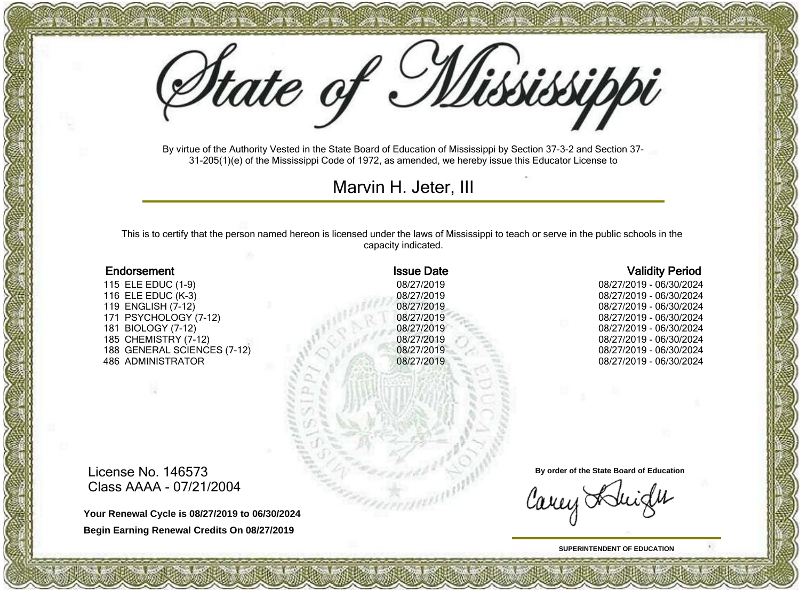State of Mississippi

By virtue of the Authority Vested in the State Board of Education of Mississippi by Section 37-3-2 and Section 37- 31-205(1)(e) of the Mississippi Code of 1972, as amended, we hereby issue this Educator License to

Marvin H. Jeter, III

This is to certify that the person named hereon is licensed under the laws of Mississippi to teach or serve in the public schools in the capacity indicated.

115 ELE EDUC (1-9) 08/27/2019 08/27/2019 - 06/30/2024<br>116 ELE EDUC (K-3) 08/27/2019 08/27/2019 - 06/30/2024 116 ELE EDUC (K-3) 08/27/2019 08/27/2019 - 06/30/2024 171 PSYCHOLOGY (7-12) 08/27/2019 08/27/2019 - 06/30/2024 185 CHEMISTRY (7-12) 08/27/2019 08/27/2019 - 06/30/2024 188 GENERAL SCIENCES (7-12) 486 ADMINISTRATOR 08/27/2019 08/27/2019 - 06/30/2024

#### Endorsement **Issue Date** Validity Period **Issue Date** Validity Period

08/27/2019 - 06/30/2024 181 BIOLOGY (7-12) 08/27/2019 08/27/2019 - 06/30/2024

License No. 146573 Class AAAA - 07/21/2004

**Your Renewal Cycle is 08/27/2019 to 06/30/2024 Begin Earning Renewal Credits On 08/27/2019**

**By order of the State Board of Education**

Carey Adu

**SUPERINTENDENT OF EDUCATION**